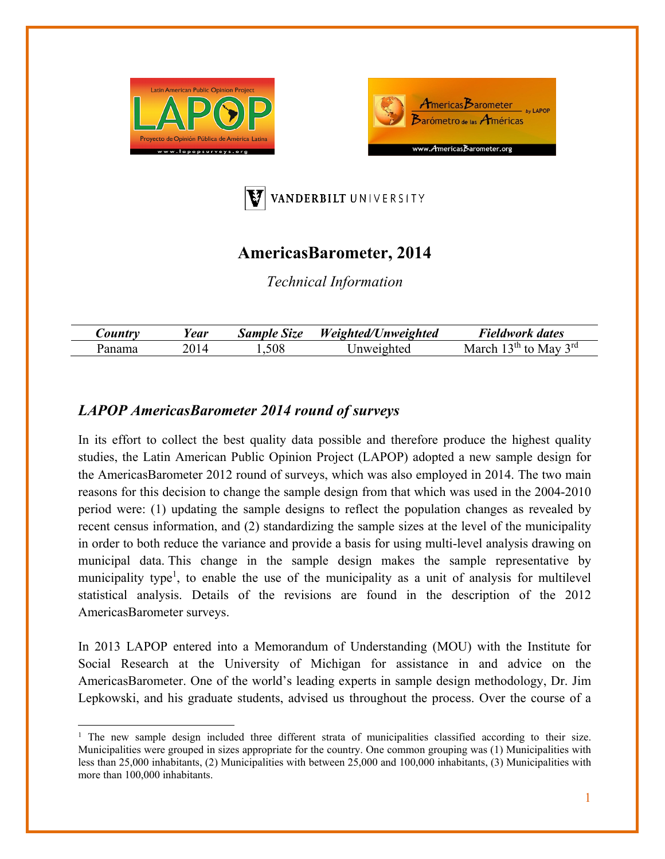





## **AmericasBarometer, 2014**

*Technical Information* 

|               | Year | Size<br><b>Sample</b> | Weighted/l<br><b>Unweighted</b> | $\overline{\phantom{a}}$<br>t dates<br>Teldwork |
|---------------|------|-----------------------|---------------------------------|-------------------------------------------------|
| <b>Panama</b> |      | .508                  |                                 | 2rd<br>, uu<br>May<br>Mа                        |

## *LAPOP AmericasBarometer 2014 round of surveys*

In its effort to collect the best quality data possible and therefore produce the highest quality studies, the Latin American Public Opinion Project (LAPOP) adopted a new sample design for the AmericasBarometer 2012 round of surveys, which was also employed in 2014. The two main reasons for this decision to change the sample design from that which was used in the 2004-2010 period were: (1) updating the sample designs to reflect the population changes as revealed by recent census information, and (2) standardizing the sample sizes at the level of the municipality in order to both reduce the variance and provide a basis for using multi-level analysis drawing on municipal data. This change in the sample design makes the sample representative by municipality type<sup>1</sup>, to enable the use of the municipality as a unit of analysis for multilevel statistical analysis. Details of the revisions are found in the description of the 2012 AmericasBarometer surveys.

In 2013 LAPOP entered into a Memorandum of Understanding (MOU) with the Institute for Social Research at the University of Michigan for assistance in and advice on the AmericasBarometer. One of the world's leading experts in sample design methodology, Dr. Jim Lepkowski, and his graduate students, advised us throughout the process. Over the course of a

<sup>&</sup>lt;sup>1</sup> The new sample design included three different strata of municipalities classified according to their size. Municipalities were grouped in sizes appropriate for the country. One common grouping was (1) Municipalities with less than 25,000 inhabitants, (2) Municipalities with between 25,000 and 100,000 inhabitants, (3) Municipalities with more than 100,000 inhabitants.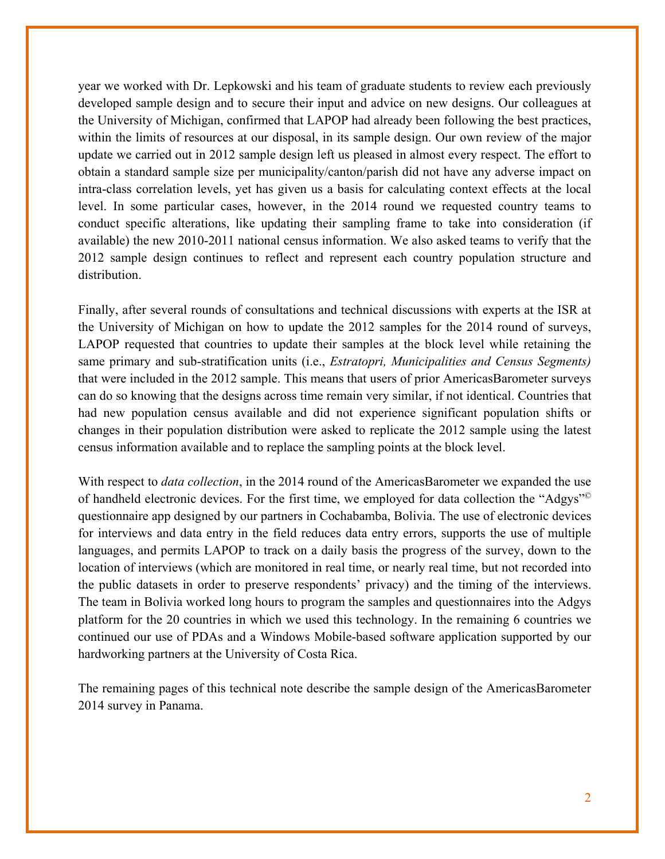year we worked with Dr. Lepkowski and his team of graduate students to review each previously developed sample design and to secure their input and advice on new designs. Our colleagues at the University of Michigan, confirmed that LAPOP had already been following the best practices, within the limits of resources at our disposal, in its sample design. Our own review of the major update we carried out in 2012 sample design left us pleased in almost every respect. The effort to obtain a standard sample size per municipality/canton/parish did not have any adverse impact on intra-class correlation levels, yet has given us a basis for calculating context effects at the local level. In some particular cases, however, in the 2014 round we requested country teams to conduct specific alterations, like updating their sampling frame to take into consideration (if available) the new 2010-2011 national census information. We also asked teams to verify that the 2012 sample design continues to reflect and represent each country population structure and distribution.

Finally, after several rounds of consultations and technical discussions with experts at the ISR at the University of Michigan on how to update the 2012 samples for the 2014 round of surveys, LAPOP requested that countries to update their samples at the block level while retaining the same primary and sub-stratification units (i.e., *Estratopri, Municipalities and Census Segments)*  that were included in the 2012 sample. This means that users of prior AmericasBarometer surveys can do so knowing that the designs across time remain very similar, if not identical. Countries that had new population census available and did not experience significant population shifts or changes in their population distribution were asked to replicate the 2012 sample using the latest census information available and to replace the sampling points at the block level.

With respect to *data collection*, in the 2014 round of the AmericasBarometer we expanded the use of handheld electronic devices. For the first time, we employed for data collection the "Adgys"© questionnaire app designed by our partners in Cochabamba, Bolivia. The use of electronic devices for interviews and data entry in the field reduces data entry errors, supports the use of multiple languages, and permits LAPOP to track on a daily basis the progress of the survey, down to the location of interviews (which are monitored in real time, or nearly real time, but not recorded into the public datasets in order to preserve respondents' privacy) and the timing of the interviews. The team in Bolivia worked long hours to program the samples and questionnaires into the Adgys platform for the 20 countries in which we used this technology. In the remaining 6 countries we continued our use of PDAs and a Windows Mobile-based software application supported by our hardworking partners at the University of Costa Rica.

The remaining pages of this technical note describe the sample design of the AmericasBarometer 2014 survey in Panama.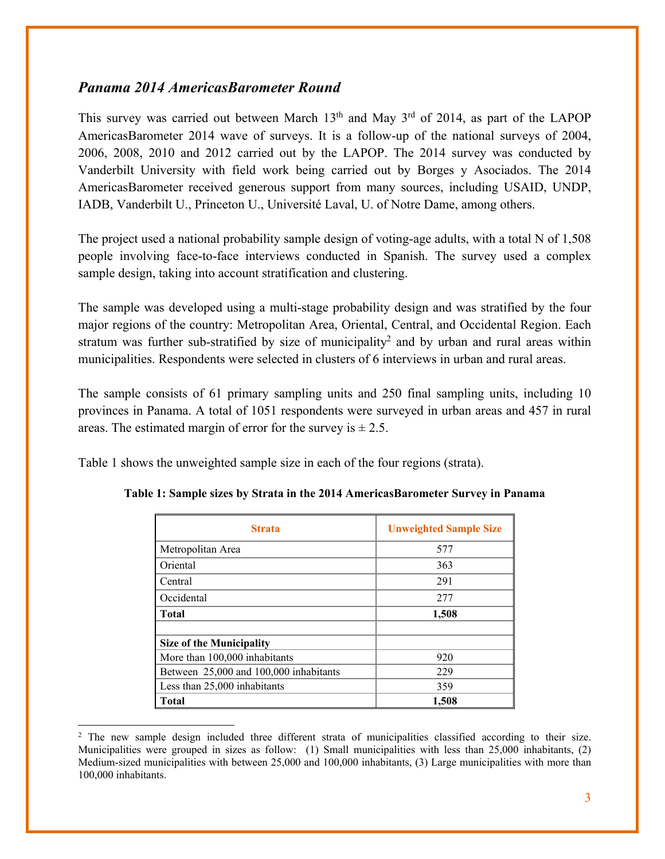## *Panama 2014 AmericasBarometer Round*

This survey was carried out between March  $13<sup>th</sup>$  and May  $3<sup>rd</sup>$  of 2014, as part of the LAPOP AmericasBarometer 2014 wave of surveys. It is a follow-up of the national surveys of 2004, 2006, 2008, 2010 and 2012 carried out by the LAPOP. The 2014 survey was conducted by Vanderbilt University with field work being carried out by Borges y Asociados. The 2014 AmericasBarometer received generous support from many sources, including USAID, UNDP, IADB, Vanderbilt U., Princeton U., Université Laval, U. of Notre Dame, among others.

The project used a national probability sample design of voting-age adults, with a total N of 1,508 people involving face-to-face interviews conducted in Spanish. The survey used a complex sample design, taking into account stratification and clustering.

The sample was developed using a multi-stage probability design and was stratified by the four major regions of the country: Metropolitan Area, Oriental, Central, and Occidental Region. Each stratum was further sub-stratified by size of municipality<sup>2</sup> and by urban and rural areas within municipalities. Respondents were selected in clusters of 6 interviews in urban and rural areas.

The sample consists of 61 primary sampling units and 250 final sampling units, including 10 provinces in Panama. A total of 1051 respondents were surveyed in urban areas and 457 in rural areas. The estimated margin of error for the survey is  $\pm 2.5$ .

Table 1 shows the unweighted sample size in each of the four regions (strata).

| <b>Strata</b>                          | <b>Unweighted Sample Size</b> |  |
|----------------------------------------|-------------------------------|--|
| Metropolitan Area                      | 577                           |  |
| Oriental                               | 363                           |  |
| Central                                | 291                           |  |
| Occidental                             | 277                           |  |
| <b>Total</b>                           | 1,508                         |  |
|                                        |                               |  |
| <b>Size of the Municipality</b>        |                               |  |
| More than 100,000 inhabitants          | 920                           |  |
| Between 25,000 and 100,000 inhabitants | 229                           |  |
| Less than 25,000 inhabitants           | 359                           |  |
| <b>Total</b>                           | 1,508                         |  |

| Table 1: Sample sizes by Strata in the 2014 AmericasBarometer Survey in Panama |  |  |  |
|--------------------------------------------------------------------------------|--|--|--|
|--------------------------------------------------------------------------------|--|--|--|

<sup>&</sup>lt;sup>2</sup> The new sample design included three different strata of municipalities classified according to their size. Municipalities were grouped in sizes as follow: (1) Small municipalities with less than 25,000 inhabitants, (2) Medium-sized municipalities with between 25,000 and 100,000 inhabitants, (3) Large municipalities with more than 100,000 inhabitants.